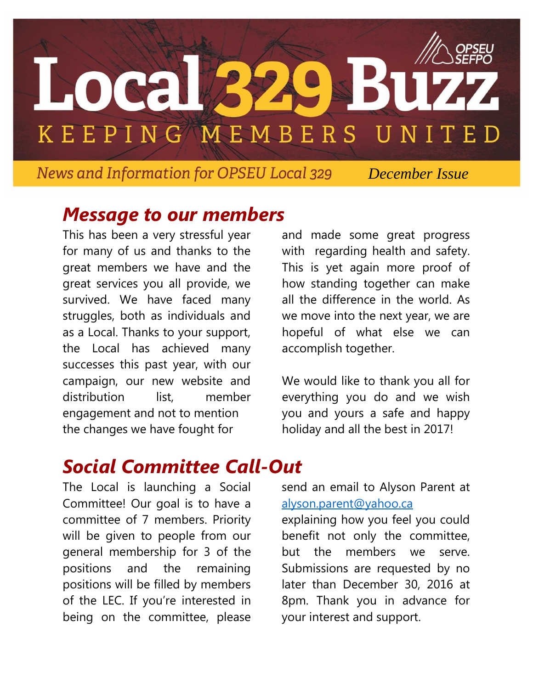

**News and Information for OPSEU Local 329** 

 *December Issue*

#### *Message to our members*

This has been a very stressful year for many of us and thanks to the great members we have and the great services you all provide, we survived. We have faced many struggles, both as individuals and as a Local. Thanks to your support, the Local has achieved many successes this past year, with our campaign, our new website and distribution list, member engagement and not to mention the changes we have fought for

and made some great progress with regarding health and safety. This is yet again more proof of how standing together can make all the difference in the world. As we move into the next year, we are hopeful of what else we can accomplish together.

We would like to thank you all for everything you do and we wish you and yours a safe and happy holiday and all the best in 2017!

# *Social Committee Call-Out*

The Local is launching a Social Committee! Our goal is to have a committee of 7 members. Priority will be given to people from our general membership for 3 of the positions and the remaining positions will be filled by members of the LEC. If you're interested in being on the committee, please

send an email to Alyson Parent at [alyson.parent@yahoo.ca](mailto:alyson.parent@yahoo.ca)

explaining how you feel you could benefit not only the committee, but the members we serve. Submissions are requested by no later than December 30, 2016 at 8pm. Thank you in advance for your interest and support.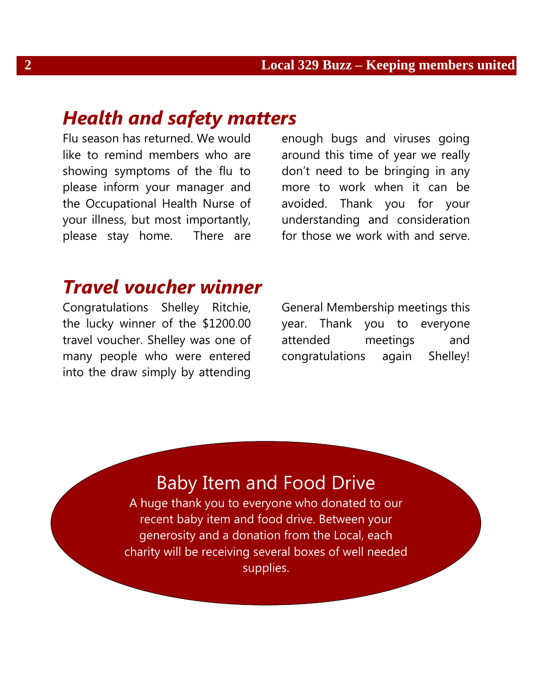### *Health and safety matters*

Flu season has returned. We would like to remind members who are showing symptoms of the flu to please inform your manager and the Occupational Health Nurse of your illness, but most importantly, please stay home. There are

enough bugs and viruses going around this time of year we really don't need to be bringing in any more to work when it can be avoided. Thank you for your understanding and consideration for those we work with and serve.

### *Travel voucher winner*

Congratulations Shelley Ritchie, the lucky winner of the \$1200.00 travel voucher. Shelley was one of many people who were entered into the draw simply by attending General Membership meetings this year. Thank you to everyone attended meetings and congratulations again Shelley!

## Baby Item and Food Drive

A huge thank you to everyone who donated to our recent baby item and food drive. Between your generosity and a donation from the Local, each charity will be receiving several boxes of well needed supplies.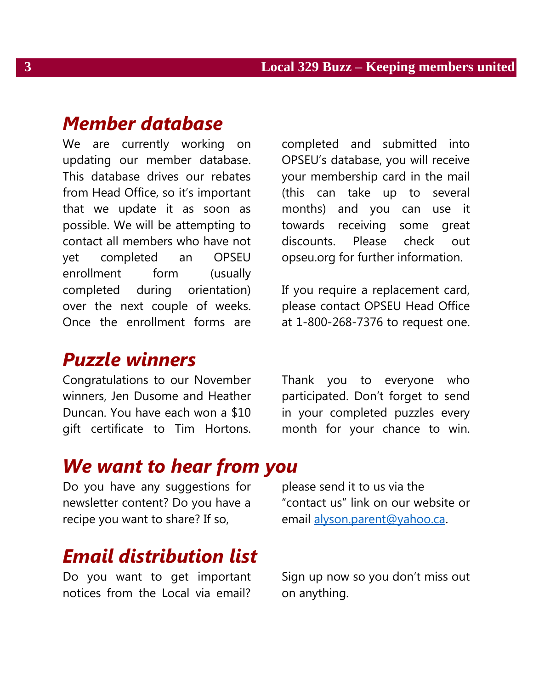### *Member database*

We are currently working on updating our member database. This database drives our rebates from Head Office, so it's important that we update it as soon as possible. We will be attempting to contact all members who have not yet completed an OPSEU enrollment form (usually completed during orientation) over the next couple of weeks. Once the enrollment forms are

### *Puzzle winners*

Congratulations to our November winners, Jen Dusome and Heather Duncan. You have each won a \$10 gift certificate to Tim Hortons.

completed and submitted into OPSEU's database, you will receive your membership card in the mail (this can take up to several months) and you can use it towards receiving some great discounts. Please check out opseu.org for further information.

If you require a replacement card, please contact OPSEU Head Office at 1-800-268-7376 to request one.

Thank you to everyone who participated. Don't forget to send in your completed puzzles every month for your chance to win.

### *We want to hear from you*

Do you have any suggestions for newsletter content? Do you have a recipe you want to share? If so,

# *Email distribution list*

Do you want to get important notices from the Local via email?

please send it to us via the "contact us" link on our website or email [alyson.parent@yahoo.ca.](mailto:alyson.parent@yahoo.ca)

Sign up now so you don't miss out on anything.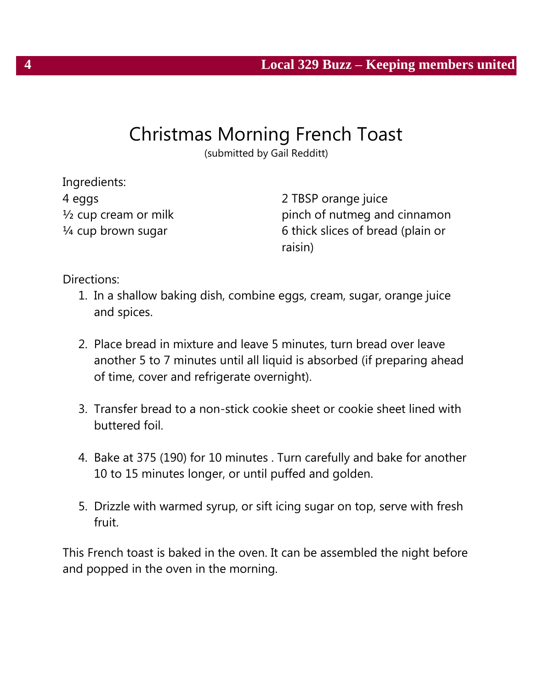# Christmas Morning French Toast

(submitted by Gail Redditt)

Ingredients: 4 eggs ½ cup cream or milk ¼ cup brown sugar

2 TBSP orange juice pinch of nutmeg and cinnamon 6 thick slices of bread (plain or raisin)

Directions:

- 1. In a shallow baking dish, combine eggs, cream, sugar, orange juice and spices.
- 2. Place bread in mixture and leave 5 minutes, turn bread over leave another 5 to 7 minutes until all liquid is absorbed (if preparing ahead of time, cover and refrigerate overnight).
- 3. Transfer bread to a non-stick cookie sheet or cookie sheet lined with buttered foil.
- 4. Bake at 375 (190) for 10 minutes . Turn carefully and bake for another 10 to 15 minutes longer, or until puffed and golden.
- 5. Drizzle with warmed syrup, or sift icing sugar on top, serve with fresh fruit.

This French toast is baked in the oven. It can be assembled the night before and popped in the oven in the morning.